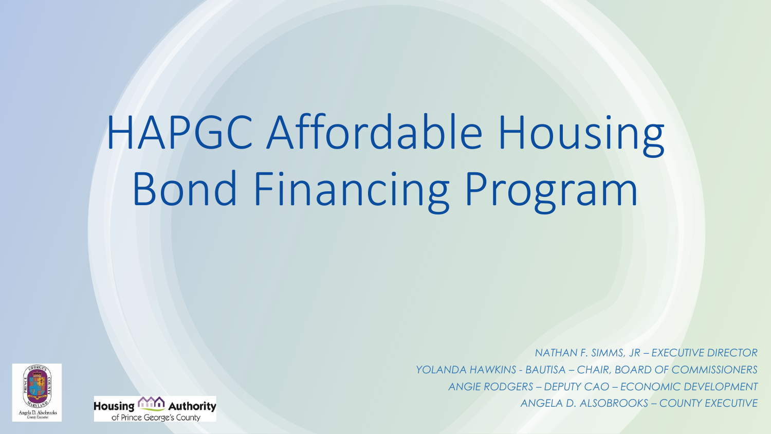# HAPGC Affordable Housing Bond Financing Program

*NATHAN F. SIMMS, JR – EXECUTIVE DIRECTOR YOLANDA HAWKINS - BAUTISA – CHAIR, BOARD OF COMMISSIONERS ANGIE RODGERS – DEPUTY CAO – ECONOMIC DEVELOPMENT ANGELA D. ALSOBROOKS – COUNTY EXECUTIVE* 



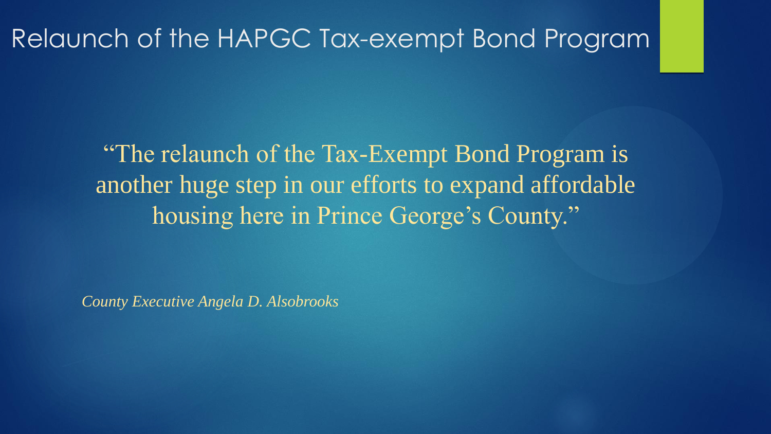#### Relaunch of the HAPGC Tax-exempt Bond Program

"The relaunch of the Tax-Exempt Bond Program is another huge step in our efforts to expand affordable housing here in Prince George's County."

*County Executive Angela D. Alsobrooks*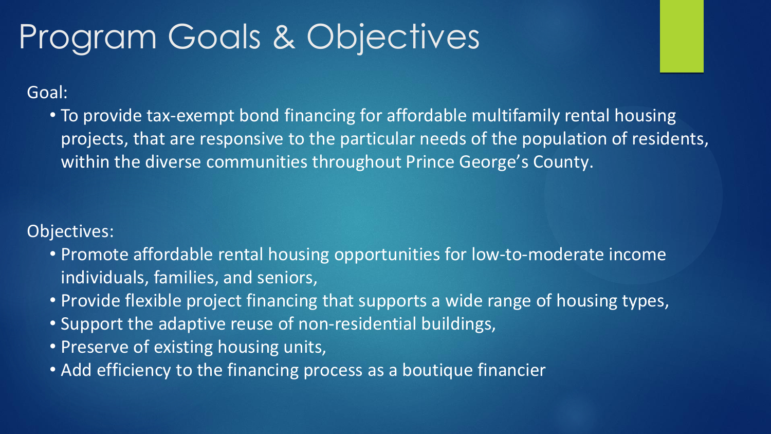# Program Goals & Objectives

Goal:

• To provide tax-exempt bond financing for affordable multifamily rental housing projects, that are responsive to the particular needs of the population of residents, within the diverse communities throughout Prince George's County.

Objectives:

- Promote affordable rental housing opportunities for low-to-moderate income individuals, families, and seniors,
- Provide flexible project financing that supports a wide range of housing types,
- Support the adaptive reuse of non-residential buildings,
- Preserve of existing housing units,
- Add efficiency to the financing process as a boutique financier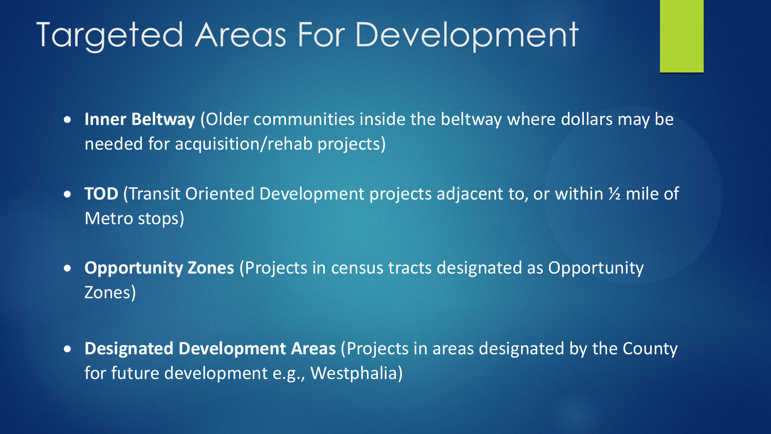### Targeted Areas For Development

- **Inner Beltway** (Older communities inside the beltway where dollars may be needed for acquisition/rehab projects)
- **TOD** (Transit Oriented Development projects adjacent to, or within ½ mile of Metro stops)
- **Opportunity Zones** (Projects in census tracts designated as Opportunity Zones)
- **Designated Development Areas** (Projects in areas designated by the County for future development e.g., Westphalia)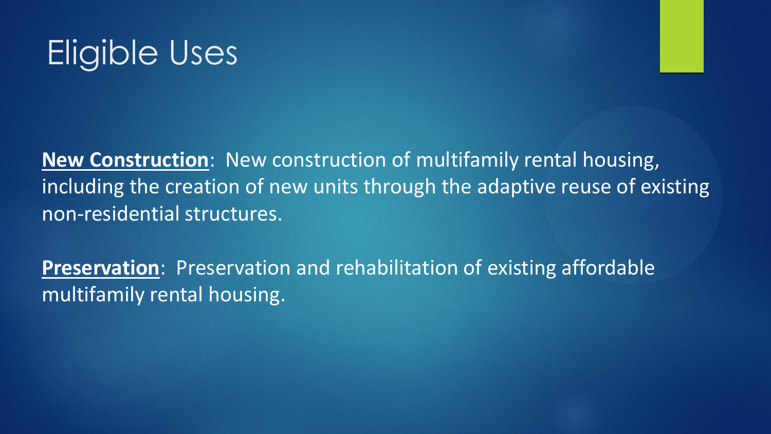

**New Construction**: New construction of multifamily rental housing, including the creation of new units through the adaptive reuse of existing non-residential structures.

**Preservation**: Preservation and rehabilitation of existing affordable multifamily rental housing.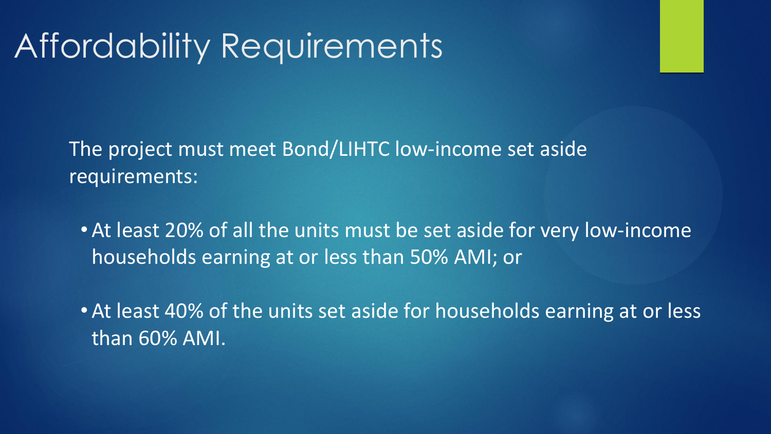# Affordability Requirements

The project must meet Bond/LIHTC low-income set aside requirements:

• At least 20% of all the units must be set aside for very low-income households earning at or less than 50% AMI; or

• At least 40% of the units set aside for households earning at or less than 60% AMI.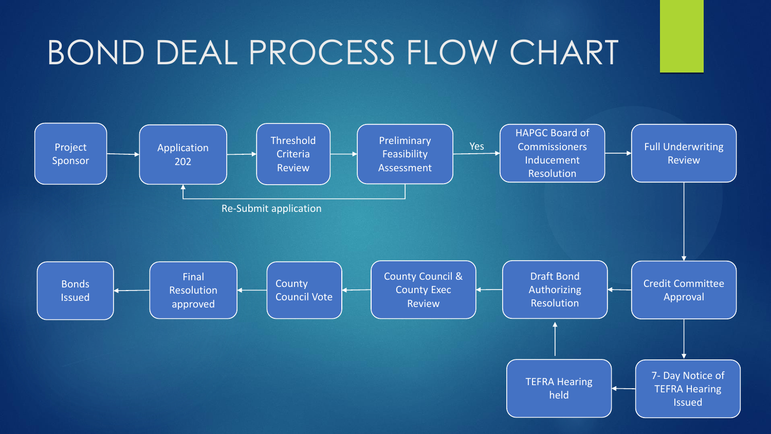# BOND DEAL PROCESS FLOW CHART

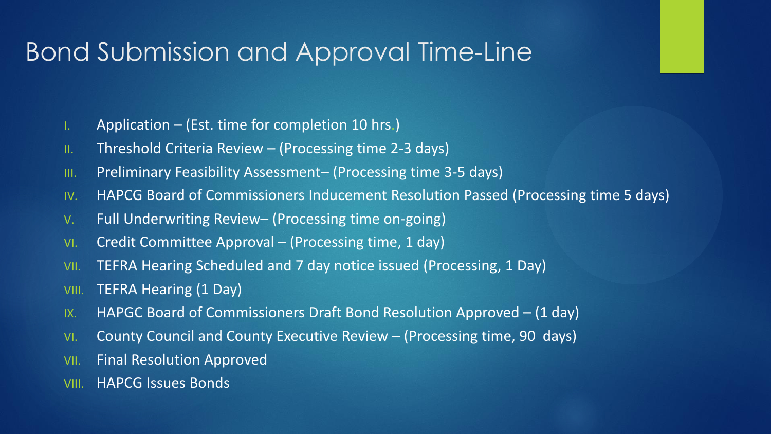#### Bond Submission and Approval Time-Line

- I. Application (Est. time for completion 10 hrs.)
- II. Threshold Criteria Review (Processing time 2-3 days)
- III. Preliminary Feasibility Assessment– (Processing time 3-5 days)
- IV. HAPCG Board of Commissioners Inducement Resolution Passed (Processing time 5 days)
- V. Full Underwriting Review– (Processing time on-going)
- VI. Credit Committee Approval (Processing time, 1 day)
- VII. TEFRA Hearing Scheduled and 7 day notice issued (Processing, 1 Day)
- VIII. TEFRA Hearing (1 Day)
- IX. HAPGC Board of Commissioners Draft Bond Resolution Approved (1 day)
- VI. County Council and County Executive Review (Processing time, 90 days)
- VII. Final Resolution Approved
- VIII. HAPCG Issues Bonds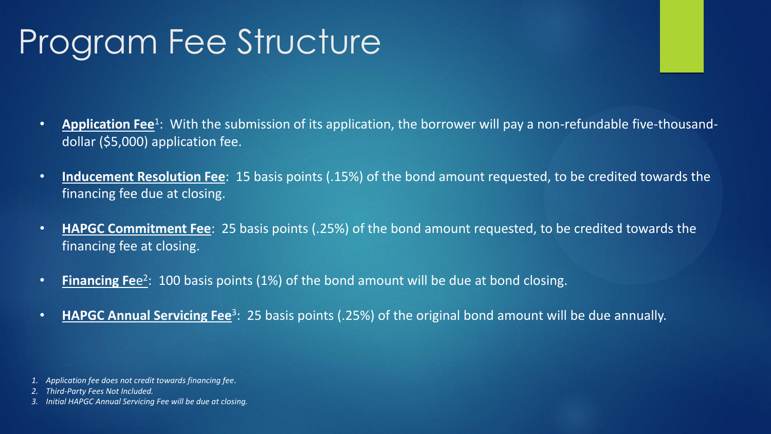# Program Fee Structure

- **Application Fee**<sup>1</sup>: With the submission of its application, the borrower will pay a non-refundable five-thousanddollar (\$5,000) application fee.
- **Inducement Resolution Fee**: 15 basis points (.15%) of the bond amount requested, to be credited towards the financing fee due at closing.
- **HAPGC Commitment Fee**: 25 basis points (.25%) of the bond amount requested, to be credited towards the financing fee at closing.
- **Financing Fe**e<sup>2</sup>: 100 basis points (1%) of the bond amount will be due at bond closing.
- **HAPGC Annual Servicing Fee**<sup>3</sup>: 25 basis points (.25%) of the original bond amount will be due annually.

*3. Initial HAPGC Annual Servicing Fee will be due at closing.*

*<sup>1.</sup> Application fee does not credit towards financing fee*.

*<sup>2.</sup> Third-Party Fees Not Included.*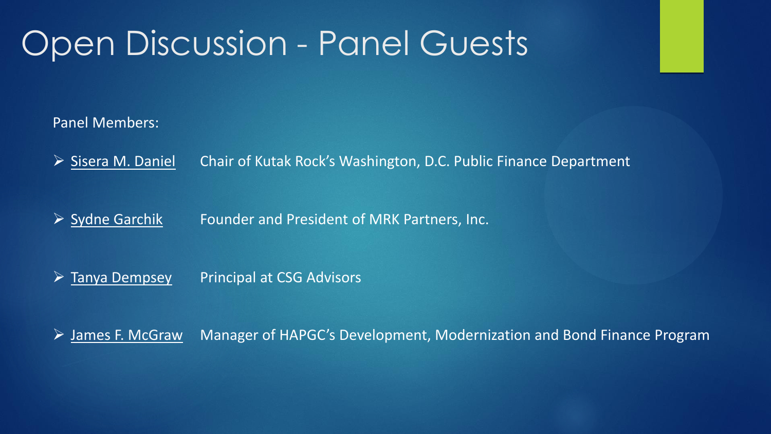### Open Discussion - Panel Guests

Panel Members:

➢ Sisera M. Daniel Chair of Kutak Rock's Washington, D.C. Public Finance Department

➢ Sydne Garchik Founder and President of MRK Partners, Inc.

➢ Tanya Dempsey Principal at CSG Advisors

➢ James F. McGraw Manager of HAPGC's Development, Modernization and Bond Finance Program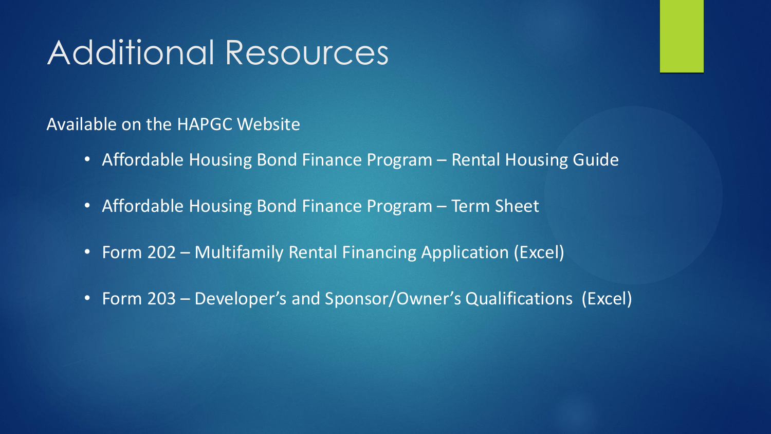# Additional Resources

Available on the HAPGC Website

- Affordable Housing Bond Finance Program Rental Housing Guide
- Affordable Housing Bond Finance Program Term Sheet
- Form 202 Multifamily Rental Financing Application (Excel)
- Form 203 Developer's and Sponsor/Owner's Qualifications (Excel)